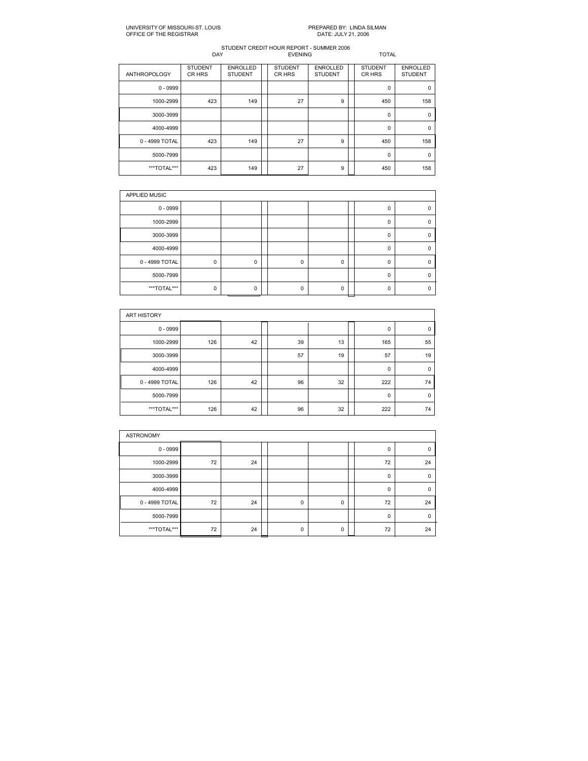| <b>ANTHROPOLOGY</b> | <b>STUDENT</b><br>CR HRS | <b>ENROLLED</b><br><b>STUDENT</b> | <b>STUDENT</b><br>CR HRS | <b>ENROLLED</b><br><b>STUDENT</b> | <b>STUDENT</b><br>CR HRS | <b>ENROLLED</b><br><b>STUDENT</b> |
|---------------------|--------------------------|-----------------------------------|--------------------------|-----------------------------------|--------------------------|-----------------------------------|
| $0 - 0999$          |                          |                                   |                          |                                   | 0                        | 0                                 |
| 1000-2999           | 423                      | 149                               | 27                       | 9                                 | 450                      | 158                               |
| 3000-3999           |                          |                                   |                          |                                   | 0                        | $\mathbf 0$                       |
| 4000-4999           |                          |                                   |                          |                                   | 0                        | $\Omega$                          |
| 0 - 4999 TOTAL      | 423                      | 149                               | 27                       | 9                                 | 450                      | 158                               |
| 5000-7999           |                          |                                   |                          |                                   | $\mathbf 0$              | $\Omega$                          |
| ***TOTAL***         | 423                      | 149                               | 27                       | 9                                 | 450                      | 158                               |

| APPLIED MUSIC  |          |          |  |          |          |  |          |  |  |  |  |
|----------------|----------|----------|--|----------|----------|--|----------|--|--|--|--|
| $0 - 0999$     |          |          |  |          |          |  | Ω        |  |  |  |  |
| 1000-2999      |          |          |  |          |          |  | 0        |  |  |  |  |
| 3000-3999      |          |          |  |          |          |  | 0        |  |  |  |  |
| 4000-4999      |          |          |  |          |          |  | $\Omega$ |  |  |  |  |
| 0 - 4999 TOTAL | 0        | 0        |  | 0        | 0        |  | 0        |  |  |  |  |
| 5000-7999      |          |          |  |          |          |  | $\Omega$ |  |  |  |  |
| ***TOTAL***    | $\Omega$ | $\Omega$ |  | $\Omega$ | $\Omega$ |  | 0        |  |  |  |  |

| <b>ART HISTORY</b> |     |    |  |    |    |  |     |          |  |  |  |
|--------------------|-----|----|--|----|----|--|-----|----------|--|--|--|
| $0 - 0999$         |     |    |  |    |    |  | 0   | 0        |  |  |  |
| 1000-2999          | 126 | 42 |  | 39 | 13 |  | 165 | 55       |  |  |  |
| 3000-3999          |     |    |  | 57 | 19 |  | 57  | 19       |  |  |  |
| 4000-4999          |     |    |  |    |    |  | 0   | $\Omega$ |  |  |  |
| 0 - 4999 TOTAL     | 126 | 42 |  | 96 | 32 |  | 222 | 74       |  |  |  |
| 5000-7999          |     |    |  |    |    |  | 0   | 0        |  |  |  |
| ***TOTAL***        | 126 | 42 |  | 96 | 32 |  | 222 | 74       |  |  |  |

| <b>ASTRONOMY</b> |    |    |  |          |   |  |             |             |  |  |
|------------------|----|----|--|----------|---|--|-------------|-------------|--|--|
| $0 - 0999$       |    |    |  |          |   |  | 0           | $\Omega$    |  |  |
| 1000-2999        | 72 | 24 |  |          |   |  | 72          | 24          |  |  |
| 3000-3999        |    |    |  |          |   |  | $\mathbf 0$ | $\mathbf 0$ |  |  |
| 4000-4999        |    |    |  |          |   |  | $\mathbf 0$ | $\mathbf 0$ |  |  |
| 0 - 4999 TOTAL   | 72 | 24 |  | 0        | 0 |  | 72          | 24          |  |  |
| 5000-7999        |    |    |  |          |   |  | $\Omega$    | $\Omega$    |  |  |
| ***TOTAL***      | 72 | 24 |  | $\Omega$ | 0 |  | 72          | 24          |  |  |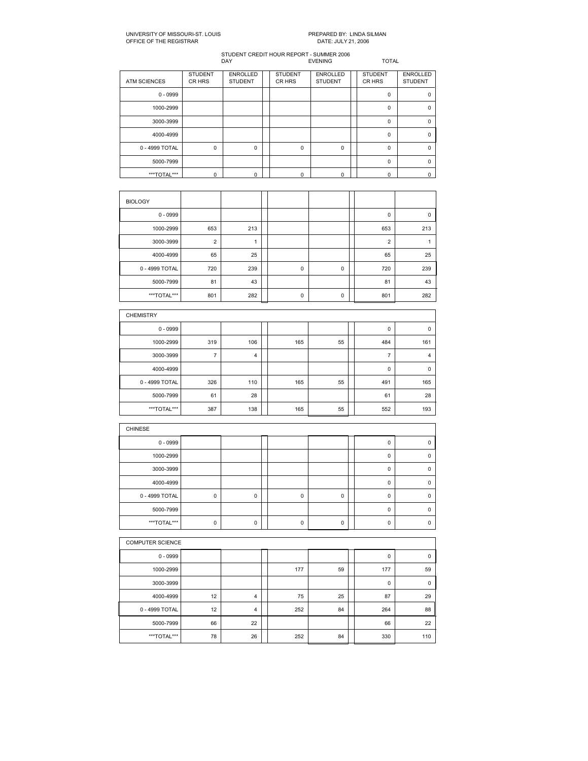STUDENT CREDIT HOUR REPORT - SUMMER 2006<br>DAY EVENING EVENING TOTAL

STUDENT ENROLLED STUDENT ENROLLED STUDENT ENROLLED CRHRS STUDENT STUDENT ATM SCIENCES 0 0999 0 0 1000-2999 | | | | | | | | | | | | 0 | 0 | 3000-3999 | | | | | | | | | | | 0 | 0 | 40004999 0 0 0 4999 TOTAL 0 0 0 0 0 0 50007999 0 0 \*\*\*TOTAL\*\*\* 0 0 0 0 0 0

| <b>BIOLOGY</b> |                |     |             |   |                |     |
|----------------|----------------|-----|-------------|---|----------------|-----|
| $0 - 0999$     |                |     |             |   | 0              | 0   |
| 1000-2999      | 653            | 213 |             |   | 653            | 213 |
| 3000-3999      | $\overline{2}$ |     |             |   | $\overline{2}$ |     |
| 4000-4999      | 65             | 25  |             |   | 65             | 25  |
| 0 - 4999 TOTAL | 720            | 239 | $\mathbf 0$ | 0 | 720            | 239 |
| 5000-7999      | 81             | 43  |             |   | 81             | 43  |
| ***TOTAL***    | 801            | 282 | $\mathbf 0$ | 0 | 801            | 282 |

| <b>CHEMISTRY</b> |     |     |     |    |     |             |
|------------------|-----|-----|-----|----|-----|-------------|
| $0 - 0999$       |     |     |     |    | 0   | 0           |
| 1000-2999        | 319 | 106 | 165 | 55 | 484 | 161         |
| 3000-3999        | 7   | 4   |     |    |     | 4           |
| 4000-4999        |     |     |     |    | 0   | $\mathbf 0$ |
| 0 - 4999 TOTAL   | 326 | 110 | 165 | 55 | 491 | 165         |
| 5000-7999        | 61  | 28  |     |    | 61  | 28          |
| ***TOTAL***      | 387 | 138 | 165 | 55 | 552 | 193         |

| <b>CHINESE</b> |             |   |          |   |          |  |
|----------------|-------------|---|----------|---|----------|--|
| $0 - 0999$     |             |   |          |   |          |  |
| 1000-2999      |             |   |          |   | 0        |  |
| 3000-3999      |             |   |          |   |          |  |
| 4000-4999      |             |   |          |   | r        |  |
| 0 - 4999 TOTAL | $\mathbf 0$ | 0 | $\Omega$ | 0 | n        |  |
| 5000-7999      |             |   |          |   | $\Omega$ |  |
| ***TOTAL***    | 0           | 0 | 0        | 0 |          |  |

|                | <b>COMPUTER SCIENCE</b> |                |  |     |    |  |             |     |  |  |  |
|----------------|-------------------------|----------------|--|-----|----|--|-------------|-----|--|--|--|
| $0 - 0999$     |                         |                |  |     |    |  | 0           | 0   |  |  |  |
| 1000-2999      |                         |                |  | 177 | 59 |  | 177         | 59  |  |  |  |
| 3000-3999      |                         |                |  |     |    |  | $\mathbf 0$ | 0   |  |  |  |
| 4000-4999      | 12                      | $\overline{4}$ |  | 75  | 25 |  | 87          | 29  |  |  |  |
| 0 - 4999 TOTAL | 12                      | $\overline{4}$ |  | 252 | 84 |  | 264         | 88  |  |  |  |
| 5000-7999      | 66                      | 22             |  |     |    |  | 66          | 22  |  |  |  |
| ***TOTAL***    | 78                      | 26             |  | 252 | 84 |  | 330         | 110 |  |  |  |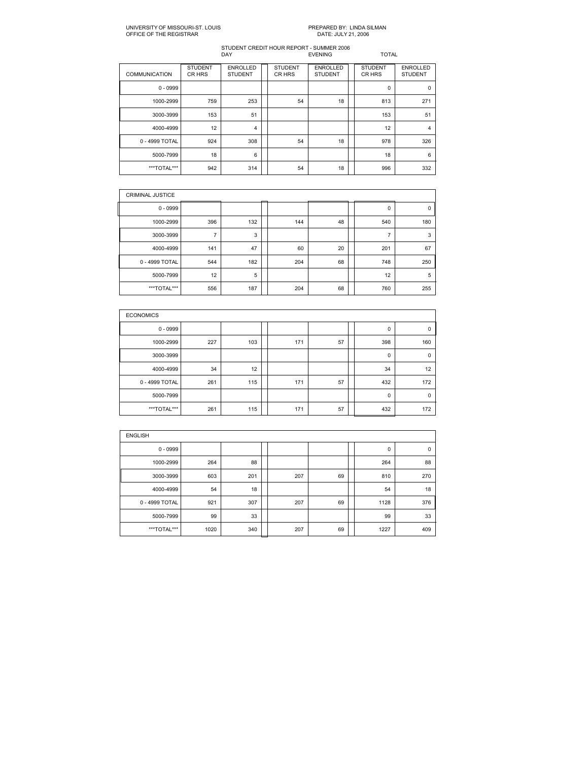| <b>COMMUNICATION</b> | <b>STUDENT</b><br>CR HRS | <b>ENROLLED</b><br><b>STUDENT</b> | <b>STUDENT</b><br>CR HRS | <b>ENROLLED</b><br><b>STUDENT</b> | <b>STUDENT</b><br>CR HRS | <b>ENROLLED</b><br><b>STUDENT</b> |
|----------------------|--------------------------|-----------------------------------|--------------------------|-----------------------------------|--------------------------|-----------------------------------|
| $0 - 0999$           |                          |                                   |                          |                                   | 0                        | $\Omega$                          |
| 1000-2999            | 759                      | 253                               | 54                       | 18                                | 813                      | 271                               |
| 3000-3999            | 153                      | 51                                |                          |                                   | 153                      | 51                                |
| 4000-4999            | 12                       | 4                                 |                          |                                   | 12                       | 4                                 |
| 0 - 4999 TOTAL       | 924                      | 308                               | 54                       | 18                                | 978                      | 326                               |
| 5000-7999            | 18                       | 6                                 |                          |                                   | 18                       | 6                                 |
| ***TOTAL***          | 942                      | 314                               | 54                       | 18                                | 996                      | 332                               |

| <b>CRIMINAL JUSTICE</b> |                |     |     |    |                |     |
|-------------------------|----------------|-----|-----|----|----------------|-----|
| $0 - 0999$              |                |     |     |    | 0              | 0   |
| 1000-2999               | 396            | 132 | 144 | 48 | 540            | 180 |
| 3000-3999               | $\overline{ }$ | 3   |     |    | $\overline{ }$ | 3   |
| 4000-4999               | 141            | 47  | 60  | 20 | 201            | 67  |
| 0 - 4999 TOTAL          | 544            | 182 | 204 | 68 | 748            | 250 |
| 5000-7999               | 12             | 5   |     |    | 12             | 5   |
| ***TOTAL***             | 556            | 187 | 204 | 68 | 760            | 255 |

| <b>ECONOMICS</b> |     |     |     |    |     |     |
|------------------|-----|-----|-----|----|-----|-----|
| $0 - 0999$       |     |     |     |    | 0   | 0   |
| 1000-2999        | 227 | 103 | 171 | 57 | 398 | 160 |
| 3000-3999        |     |     |     |    | 0   | 0   |
| 4000-4999        | 34  | 12  |     |    | 34  | 12  |
| 0 - 4999 TOTAL   | 261 | 115 | 171 | 57 | 432 | 172 |
| 5000-7999        |     |     |     |    | 0   | 0   |
| ***TOTAL***      | 261 | 115 | 171 | 57 | 432 | 172 |

| <b>ENGLISH</b> |      |     |  |     |    |  |      |             |  |  |  |
|----------------|------|-----|--|-----|----|--|------|-------------|--|--|--|
| $0 - 0999$     |      |     |  |     |    |  | 0    | $\mathbf 0$ |  |  |  |
| 1000-2999      | 264  | 88  |  |     |    |  | 264  | 88          |  |  |  |
| 3000-3999      | 603  | 201 |  | 207 | 69 |  | 810  | 270         |  |  |  |
| 4000-4999      | 54   | 18  |  |     |    |  | 54   | 18          |  |  |  |
| 0 - 4999 TOTAL | 921  | 307 |  | 207 | 69 |  | 1128 | 376         |  |  |  |
| 5000-7999      | 99   | 33  |  |     |    |  | 99   | 33          |  |  |  |
| ***TOTAL***    | 1020 | 340 |  | 207 | 69 |  | 1227 | 409         |  |  |  |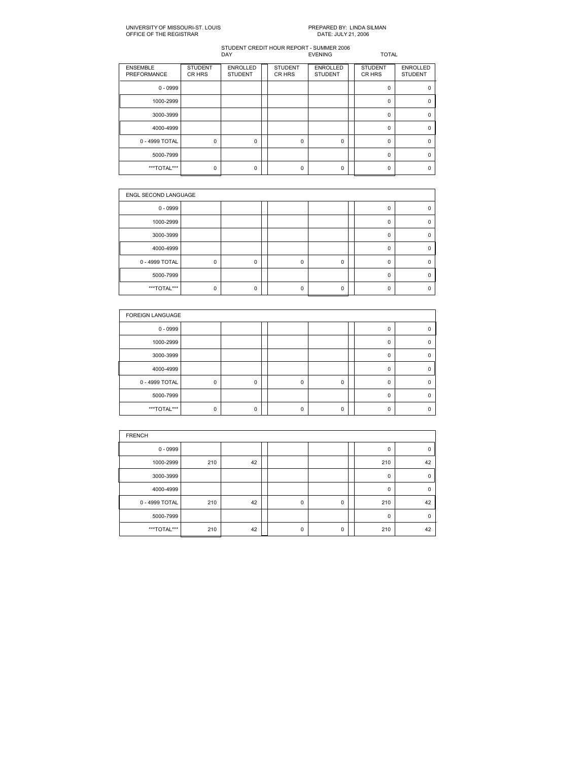| <b>ENSEMBLE</b><br>PREFORMANCE | <b>STUDENT</b><br>CR HRS | <b>ENROLLED</b><br><b>STUDENT</b> | <b>STUDENT</b><br>CR HRS | <b>ENROLLED</b><br><b>STUDENT</b> | <b>STUDENT</b><br>CR HRS | <b>ENROLLED</b><br><b>STUDENT</b> |
|--------------------------------|--------------------------|-----------------------------------|--------------------------|-----------------------------------|--------------------------|-----------------------------------|
| $0 - 0999$                     |                          |                                   |                          |                                   | $\Omega$                 | n                                 |
| 1000-2999                      |                          |                                   |                          |                                   | 0                        |                                   |
| 3000-3999                      |                          |                                   |                          |                                   | $\Omega$                 | n                                 |
| 4000-4999                      |                          |                                   |                          |                                   | 0                        |                                   |
| 0 - 4999 TOTAL                 | $\mathbf 0$              | $\mathbf 0$                       | 0                        | 0                                 | $\Omega$                 | n                                 |
| 5000-7999                      |                          |                                   |                          |                                   | $\Omega$                 | n                                 |
| ***TOTAL***                    | 0                        | 0                                 | n                        | 0                                 | $\Omega$                 |                                   |

| <b>ENGL SECOND LANGUAGE</b> |   |   |  |   |          |  |          |  |  |  |
|-----------------------------|---|---|--|---|----------|--|----------|--|--|--|
| $0 - 0999$                  |   |   |  |   |          |  |          |  |  |  |
| 1000-2999                   |   |   |  |   |          |  | $\Omega$ |  |  |  |
| 3000-3999                   |   |   |  |   |          |  | 0        |  |  |  |
| 4000-4999                   |   |   |  |   |          |  | O        |  |  |  |
| 0 - 4999 TOTAL              | 0 | 0 |  | 0 | 0        |  | $\Omega$ |  |  |  |
| 5000-7999                   |   |   |  |   |          |  | $\Omega$ |  |  |  |
| ***TOTAL***                 | 0 | 0 |  | O | $\Omega$ |  | n        |  |  |  |

| <b>FOREIGN LANGUAGE</b> |   |   |   |          |          |   |
|-------------------------|---|---|---|----------|----------|---|
| $0 - 0999$              |   |   |   |          | 0        |   |
| 1000-2999               |   |   |   |          | $\Omega$ |   |
| 3000-3999               |   |   |   |          | $\Omega$ | n |
| 4000-4999               |   |   |   |          | $\Omega$ | n |
| 0 - 4999 TOTAL          | 0 | 0 | 0 | 0        | $\Omega$ |   |
| 5000-7999               |   |   |   |          | $\Omega$ |   |
| ***TOTAL***             | O | U | n | $\Omega$ | O        |   |

| <b>FRENCH</b>  |     |    |  |             |   |  |             |          |  |  |  |
|----------------|-----|----|--|-------------|---|--|-------------|----------|--|--|--|
| $0 - 0999$     |     |    |  |             |   |  | 0           | 0        |  |  |  |
| 1000-2999      | 210 | 42 |  |             |   |  | 210         | 42       |  |  |  |
| 3000-3999      |     |    |  |             |   |  | $\mathbf 0$ | $\Omega$ |  |  |  |
| 4000-4999      |     |    |  |             |   |  | 0           | 0        |  |  |  |
| 0 - 4999 TOTAL | 210 | 42 |  | $\mathbf 0$ | 0 |  | 210         | 42       |  |  |  |
| 5000-7999      |     |    |  |             |   |  | $\mathbf 0$ | $\Omega$ |  |  |  |
| ***TOTAL***    | 210 | 42 |  | $\Omega$    | 0 |  | 210         | 42       |  |  |  |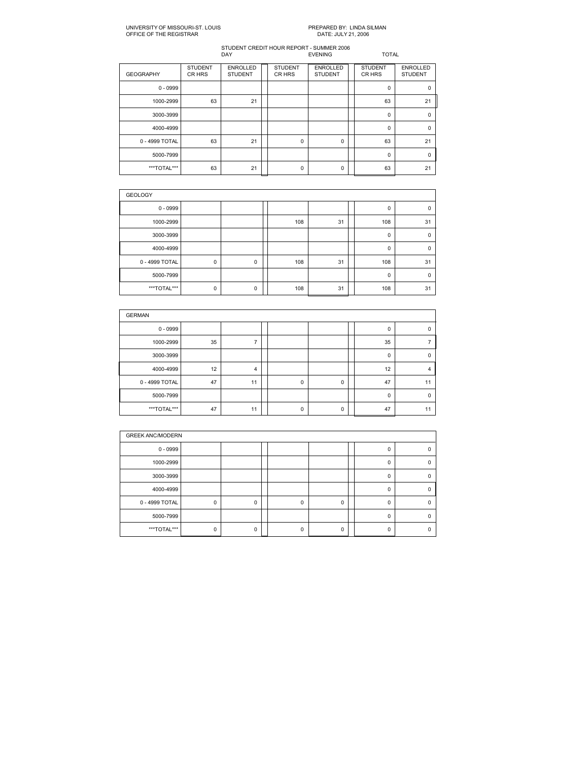| <b>GEOGRAPHY</b> | <b>STUDENT</b><br>CR HRS | <b>ENROLLED</b><br><b>STUDENT</b> | <b>STUDENT</b><br>CR HRS | <b>ENROLLED</b><br><b>STUDENT</b> | <b>STUDENT</b><br>CR HRS | <b>ENROLLED</b><br><b>STUDENT</b> |
|------------------|--------------------------|-----------------------------------|--------------------------|-----------------------------------|--------------------------|-----------------------------------|
| $0 - 0999$       |                          |                                   |                          |                                   | $\Omega$                 | $\Omega$                          |
| 1000-2999        | 63                       | 21                                |                          |                                   | 63                       | 21                                |
| 3000-3999        |                          |                                   |                          |                                   | 0                        | $\Omega$                          |
| 4000-4999        |                          |                                   |                          |                                   | 0                        | $\Omega$                          |
| 0 - 4999 TOTAL   | 63                       | 21                                | $\mathbf 0$              | 0                                 | 63                       | 21                                |
| 5000-7999        |                          |                                   |                          |                                   | $\Omega$                 | $\Omega$                          |
| ***TOTAL***      | 63                       | 21                                | 0                        | 0                                 | 63                       | 21                                |

| <b>GEOLOGY</b> |             |             |  |     |    |  |              |             |  |  |  |
|----------------|-------------|-------------|--|-----|----|--|--------------|-------------|--|--|--|
| $0 - 0999$     |             |             |  |     |    |  | $\Omega$     | $\Omega$    |  |  |  |
| 1000-2999      |             |             |  | 108 | 31 |  | 108          | 31          |  |  |  |
| 3000-3999      |             |             |  |     |    |  | $\mathbf{0}$ | $\mathbf 0$ |  |  |  |
| 4000-4999      |             |             |  |     |    |  | $\mathbf{0}$ | $\mathbf 0$ |  |  |  |
| 0 - 4999 TOTAL | 0           | $\mathbf 0$ |  | 108 | 31 |  | 108          | 31          |  |  |  |
| 5000-7999      |             |             |  |     |    |  | 0            | $\mathbf 0$ |  |  |  |
| ***TOTAL***    | $\mathbf 0$ | $\mathbf 0$ |  | 108 | 31 |  | 108          | 31          |  |  |  |

| <b>GERMAN</b>  |    |                |  |   |   |  |    |             |  |  |  |  |
|----------------|----|----------------|--|---|---|--|----|-------------|--|--|--|--|
| $0 - 0999$     |    |                |  |   |   |  | 0  | $\Omega$    |  |  |  |  |
| 1000-2999      | 35 |                |  |   |   |  | 35 |             |  |  |  |  |
| 3000-3999      |    |                |  |   |   |  | 0  | $\mathbf 0$ |  |  |  |  |
| 4000-4999      | 12 | $\overline{4}$ |  |   |   |  | 12 | 4           |  |  |  |  |
| 0 - 4999 TOTAL | 47 | 11             |  | 0 | 0 |  | 47 | 11          |  |  |  |  |
| 5000-7999      |    |                |  |   |   |  | 0  | $\mathbf 0$ |  |  |  |  |
| ***TOTAL***    | 47 | 11             |  | 0 | 0 |  | 47 | 11          |  |  |  |  |

| <b>GREEK ANC/MODERN</b> |   |          |  |          |          |  |          |   |  |  |
|-------------------------|---|----------|--|----------|----------|--|----------|---|--|--|
| $0 - 0999$              |   |          |  |          |          |  |          |   |  |  |
| 1000-2999               |   |          |  |          |          |  | n        | 0 |  |  |
| 3000-3999               |   |          |  |          |          |  |          | 0 |  |  |
| 4000-4999               |   |          |  |          |          |  | n        | 0 |  |  |
| 0 - 4999 TOTAL          | 0 | $\Omega$ |  | $\Omega$ | $\Omega$ |  | $\Omega$ | n |  |  |
| 5000-7999               |   |          |  |          |          |  | O        | O |  |  |
| ***TOTAL***             | 0 | 0        |  |          | $\Omega$ |  |          |   |  |  |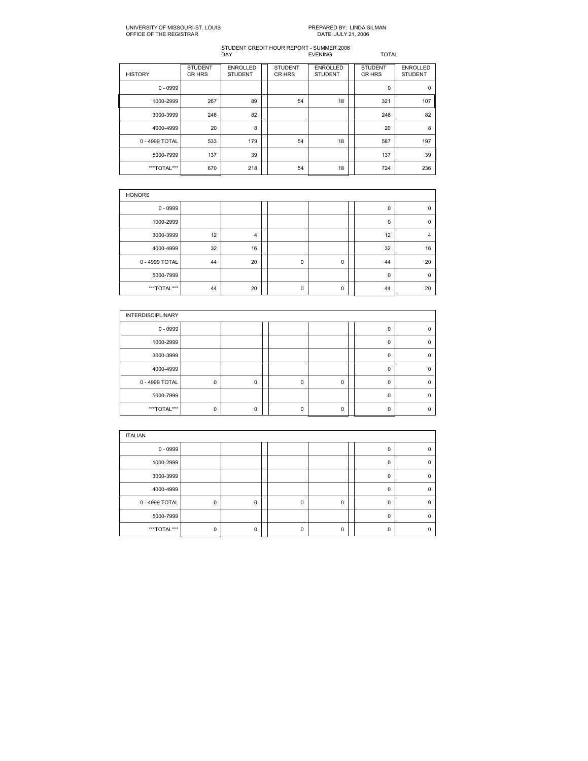| <b>HISTORY</b> | <b>STUDENT</b><br>CR HRS | <b>ENROLLED</b><br><b>STUDENT</b> | <b>STUDENT</b><br>CR HRS | <b>ENROLLED</b><br><b>STUDENT</b> | <b>STUDENT</b><br>CR HRS | <b>ENROLLED</b><br><b>STUDENT</b> |
|----------------|--------------------------|-----------------------------------|--------------------------|-----------------------------------|--------------------------|-----------------------------------|
| $0 - 0999$     |                          |                                   |                          |                                   | 0                        | $\mathbf 0$                       |
| 1000-2999      | 267                      | 89                                | 54                       | 18                                | 321                      | 107                               |
| 3000-3999      | 246                      | 82                                |                          |                                   | 246                      | 82                                |
| 4000-4999      | 20                       | 8                                 |                          |                                   | 20                       | 8                                 |
| 0 - 4999 TOTAL | 533                      | 179                               | 54                       | 18                                | 587                      | 197                               |
| 5000-7999      | 137                      | 39                                |                          |                                   | 137                      | 39                                |
| ***TOTAL***    | 670                      | 218                               | 54                       | 18                                | 724                      | 236                               |

| <b>HONORS</b>  |    |                |  |             |   |  |    |          |  |  |  |
|----------------|----|----------------|--|-------------|---|--|----|----------|--|--|--|
| $0 - 0999$     |    |                |  |             |   |  | 0  | $\Omega$ |  |  |  |
| 1000-2999      |    |                |  |             |   |  | 0  | 0        |  |  |  |
| 3000-3999      | 12 | $\overline{4}$ |  |             |   |  | 12 | 4        |  |  |  |
| 4000-4999      | 32 | 16             |  |             |   |  | 32 | 16       |  |  |  |
| 0 - 4999 TOTAL | 44 | 20             |  | $\mathbf 0$ | 0 |  | 44 | 20       |  |  |  |
| 5000-7999      |    |                |  |             |   |  | 0  | $\Omega$ |  |  |  |
| ***TOTAL***    | 44 | 20             |  | 0           | 0 |  | 44 | 20       |  |  |  |

| <b>INTERDISCIPLINARY</b> |          |   |   |          |   |   |
|--------------------------|----------|---|---|----------|---|---|
| $0 - 0999$               |          |   |   |          |   |   |
| 1000-2999                |          |   |   |          | 0 |   |
| 3000-3999                |          |   |   |          | 0 | n |
| 4000-4999                |          |   |   |          | 0 |   |
| 0 - 4999 TOTAL           | 0        | 0 | 0 | 0        | 0 |   |
| 5000-7999                |          |   |   |          | n |   |
| ***TOTAL***              | $\Omega$ | 0 | O | $\Omega$ | n |   |

| <b>ITALIAN</b> |          |   |          |          |          |   |
|----------------|----------|---|----------|----------|----------|---|
| $0 - 0999$     |          |   |          |          | 0        |   |
| 1000-2999      |          |   |          |          | $\Omega$ |   |
| 3000-3999      |          |   |          |          | $\Omega$ | n |
| 4000-4999      |          |   |          |          | $\Omega$ |   |
| 0 - 4999 TOTAL | $\Omega$ | 0 | $\Omega$ | 0        | $\Omega$ |   |
| 5000-7999      |          |   |          |          | $\Omega$ |   |
| ***TOTAL***    | $\Omega$ | 0 | U        | $\Omega$ | $\Omega$ |   |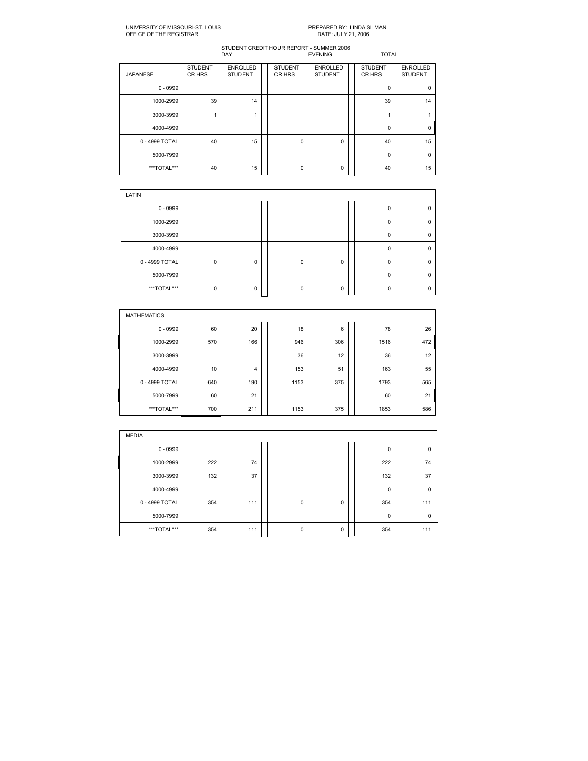| <b>JAPANESE</b> | <b>STUDENT</b><br>CR HRS | <b>ENROLLED</b><br><b>STUDENT</b> | <b>STUDENT</b><br>CR HRS | <b>ENROLLED</b><br><b>STUDENT</b> | <b>STUDENT</b><br>CR HRS | <b>ENROLLED</b><br><b>STUDENT</b> |
|-----------------|--------------------------|-----------------------------------|--------------------------|-----------------------------------|--------------------------|-----------------------------------|
| $0 - 0999$      |                          |                                   |                          |                                   | $\Omega$                 | $\Omega$                          |
| 1000-2999       | 39                       | 14                                |                          |                                   | 39                       | 14                                |
| 3000-3999       |                          |                                   |                          |                                   |                          |                                   |
| 4000-4999       |                          |                                   |                          |                                   | $\Omega$                 | $\Omega$                          |
| 0 - 4999 TOTAL  | 40                       | 15                                | $\mathbf 0$              | 0                                 | 40                       | 15                                |
| 5000-7999       |                          |                                   |                          |                                   | $\Omega$                 | $\Omega$                          |
| ***TOTAL***     | 40                       | 15                                | 0                        | 0                                 | 40                       | 15                                |

| LATIN          |          |          |  |          |          |  |          |  |  |  |  |
|----------------|----------|----------|--|----------|----------|--|----------|--|--|--|--|
| $0 - 0999$     |          |          |  |          |          |  | 0        |  |  |  |  |
| 1000-2999      |          |          |  |          |          |  | 0        |  |  |  |  |
| 3000-3999      |          |          |  |          |          |  | $\Omega$ |  |  |  |  |
| 4000-4999      |          |          |  |          |          |  | $\Omega$ |  |  |  |  |
| 0 - 4999 TOTAL | 0        | 0        |  | 0        | 0        |  | 0        |  |  |  |  |
| 5000-7999      |          |          |  |          |          |  | $\Omega$ |  |  |  |  |
| ***TOTAL***    | $\Omega$ | $\Omega$ |  | $\Omega$ | $\Omega$ |  | O        |  |  |  |  |

| <b>MATHEMATICS</b> |     |     |  |      |     |  |      |     |  |  |  |
|--------------------|-----|-----|--|------|-----|--|------|-----|--|--|--|
| $0 - 0999$         | 60  | 20  |  | 18   | 6   |  | 78   | 26  |  |  |  |
| 1000-2999          | 570 | 166 |  | 946  | 306 |  | 1516 | 472 |  |  |  |
| 3000-3999          |     |     |  | 36   | 12  |  | 36   | 12  |  |  |  |
| 4000-4999          | 10  | 4   |  | 153  | 51  |  | 163  | 55  |  |  |  |
| 0 - 4999 TOTAL     | 640 | 190 |  | 1153 | 375 |  | 1793 | 565 |  |  |  |
| 5000-7999          | 60  | 21  |  |      |     |  | 60   | 21  |  |  |  |
| ***TOTAL***        | 700 | 211 |  | 1153 | 375 |  | 1853 | 586 |  |  |  |

| <b>MEDIA</b>   |     |     |  |             |   |  |             |             |  |  |
|----------------|-----|-----|--|-------------|---|--|-------------|-------------|--|--|
| $0 - 0999$     |     |     |  |             |   |  | $\mathbf 0$ | 0           |  |  |
| 1000-2999      | 222 | 74  |  |             |   |  | 222         | 74          |  |  |
| 3000-3999      | 132 | 37  |  |             |   |  | 132         | 37          |  |  |
| 4000-4999      |     |     |  |             |   |  | $\mathbf 0$ | $\mathbf 0$ |  |  |
| 0 - 4999 TOTAL | 354 | 111 |  | $\mathbf 0$ | 0 |  | 354         | 111         |  |  |
| 5000-7999      |     |     |  |             |   |  | $\mathbf 0$ | $\mathbf 0$ |  |  |
| ***TOTAL***    | 354 | 111 |  | $\mathbf 0$ | 0 |  | 354         | 111         |  |  |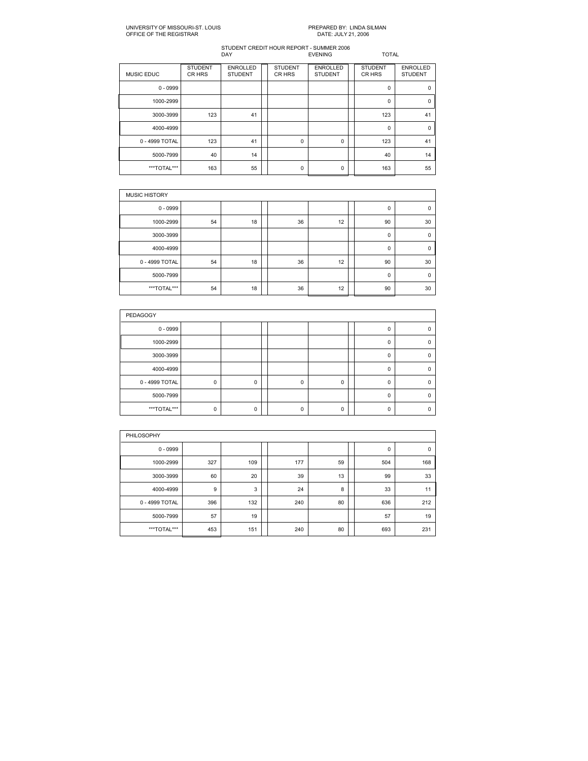| <b>MUSIC EDUC</b> | <b>STUDENT</b><br>CR HRS | <b>ENROLLED</b><br><b>STUDENT</b> | <b>STUDENT</b><br>CR HRS | <b>ENROLLED</b><br><b>STUDENT</b> | <b>STUDENT</b><br>CR HRS | <b>ENROLLED</b><br><b>STUDENT</b> |
|-------------------|--------------------------|-----------------------------------|--------------------------|-----------------------------------|--------------------------|-----------------------------------|
| $0 - 0999$        |                          |                                   |                          |                                   | 0                        | $\Omega$                          |
| 1000-2999         |                          |                                   |                          |                                   | 0                        | $\mathbf 0$                       |
| 3000-3999         | 123                      | 41                                |                          |                                   | 123                      | 41                                |
| 4000-4999         |                          |                                   |                          |                                   | 0                        | $\Omega$                          |
| 0 - 4999 TOTAL    | 123                      | 41                                | 0                        | 0                                 | 123                      | 41                                |
| 5000-7999         | 40                       | 14                                |                          |                                   | 40                       | 14                                |
| ***TOTAL***       | 163                      | 55                                | $\mathbf 0$              | 0                                 | 163                      | 55                                |

| <b>MUSIC HISTORY</b> |    |    |  |    |    |  |              |             |  |  |
|----------------------|----|----|--|----|----|--|--------------|-------------|--|--|
| $0 - 0999$           |    |    |  |    |    |  | $\Omega$     | $\Omega$    |  |  |
| 1000-2999            | 54 | 18 |  | 36 | 12 |  | 90           | 30          |  |  |
| 3000-3999            |    |    |  |    |    |  | 0            | $\mathbf 0$ |  |  |
| 4000-4999            |    |    |  |    |    |  | $\Omega$     | $\Omega$    |  |  |
| 0 - 4999 TOTAL       | 54 | 18 |  | 36 | 12 |  | 90           | 30          |  |  |
| 5000-7999            |    |    |  |    |    |  | $\mathbf{0}$ | $\mathbf 0$ |  |  |
| ***TOTAL***          | 54 | 18 |  | 36 | 12 |  | 90           | 30          |  |  |

| PEDAGOGY       |             |   |  |   |          |  |          |   |  |  |  |
|----------------|-------------|---|--|---|----------|--|----------|---|--|--|--|
| $0 - 0999$     |             |   |  |   |          |  | 0        |   |  |  |  |
| 1000-2999      |             |   |  |   |          |  | 0        |   |  |  |  |
| 3000-3999      |             |   |  |   |          |  | $\Omega$ | n |  |  |  |
| 4000-4999      |             |   |  |   |          |  | $\Omega$ | n |  |  |  |
| 0 - 4999 TOTAL | $\mathbf 0$ | 0 |  | 0 | 0        |  | 0        |   |  |  |  |
| 5000-7999      |             |   |  |   |          |  | $\Omega$ |   |  |  |  |
| ***TOTAL***    | $\Omega$    | 0 |  | O | $\Omega$ |  | n        |   |  |  |  |

| PHILOSOPHY     |     |     |  |     |    |  |     |             |  |  |  |
|----------------|-----|-----|--|-----|----|--|-----|-------------|--|--|--|
| $0 - 0999$     |     |     |  |     |    |  | 0   | $\mathbf 0$ |  |  |  |
| 1000-2999      | 327 | 109 |  | 177 | 59 |  | 504 | 168         |  |  |  |
| 3000-3999      | 60  | 20  |  | 39  | 13 |  | 99  | 33          |  |  |  |
| 4000-4999      | 9   | 3   |  | 24  | 8  |  | 33  | 11          |  |  |  |
| 0 - 4999 TOTAL | 396 | 132 |  | 240 | 80 |  | 636 | 212         |  |  |  |
| 5000-7999      | 57  | 19  |  |     |    |  | 57  | 19          |  |  |  |
| ***TOTAL***    | 453 | 151 |  | 240 | 80 |  | 693 | 231         |  |  |  |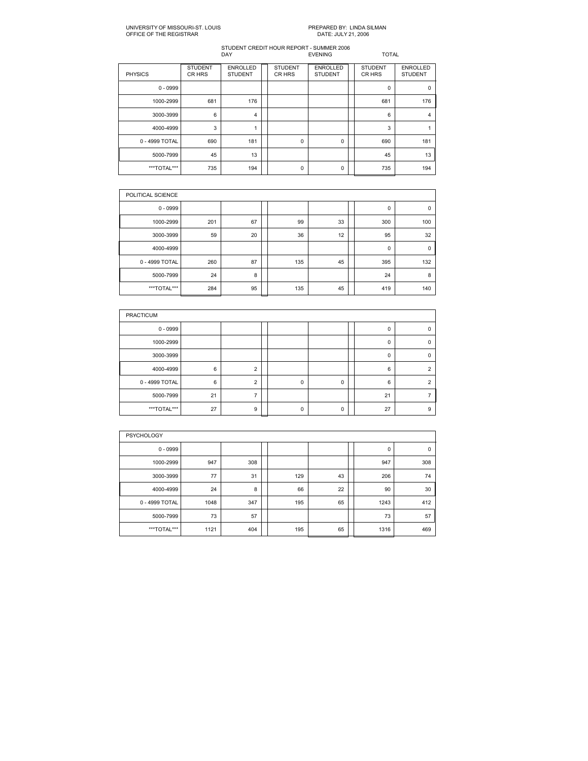| <b>PHYSICS</b> | <b>STUDENT</b><br>CR HRS | <b>ENROLLED</b><br><b>STUDENT</b> | <b>STUDENT</b><br>CR HRS | <b>ENROLLED</b><br><b>STUDENT</b> | <b>STUDENT</b><br>CR HRS | <b>ENROLLED</b><br><b>STUDENT</b> |
|----------------|--------------------------|-----------------------------------|--------------------------|-----------------------------------|--------------------------|-----------------------------------|
| $0 - 0999$     |                          |                                   |                          |                                   | 0                        | $\Omega$                          |
| 1000-2999      | 681                      | 176                               |                          |                                   | 681                      | 176                               |
| 3000-3999      | 6                        | 4                                 |                          |                                   | 6                        | 4                                 |
| 4000-4999      | 3                        |                                   |                          |                                   | 3                        |                                   |
| 0 - 4999 TOTAL | 690                      | 181                               | 0                        | 0                                 | 690                      | 181                               |
| 5000-7999      | 45                       | 13                                |                          |                                   | 45                       | 13                                |
| ***TOTAL***    | 735                      | 194                               | $\Omega$                 | 0                                 | 735                      | 194                               |

| POLITICAL SCIENCE |     |    |     |    |     |             |
|-------------------|-----|----|-----|----|-----|-------------|
| $0 - 0999$        |     |    |     |    | 0   | 0           |
| 1000-2999         | 201 | 67 | 99  | 33 | 300 | 100         |
| 3000-3999         | 59  | 20 | 36  | 12 | 95  | 32          |
| 4000-4999         |     |    |     |    | 0   | $\mathbf 0$ |
| 0 - 4999 TOTAL    | 260 | 87 | 135 | 45 | 395 | 132         |
| 5000-7999         | 24  | 8  |     |    | 24  | 8           |
| ***TOTAL***       | 284 | 95 | 135 | 45 | 419 | 140         |

| <b>PRACTICUM</b> |    |                |  |   |          |  |          |   |  |  |  |
|------------------|----|----------------|--|---|----------|--|----------|---|--|--|--|
| $0 - 0999$       |    |                |  |   |          |  | 0        |   |  |  |  |
| 1000-2999        |    |                |  |   |          |  | $\Omega$ |   |  |  |  |
| 3000-3999        |    |                |  |   |          |  | $\Omega$ | n |  |  |  |
| 4000-4999        | 6  | $\mathcal{P}$  |  |   |          |  | 6        |   |  |  |  |
| 0 - 4999 TOTAL   | 6  | $\overline{2}$ |  | 0 | 0        |  | 6        |   |  |  |  |
| 5000-7999        | 21 |                |  |   |          |  | 21       |   |  |  |  |
| ***TOTAL***      | 27 | 9              |  | O | $\Omega$ |  | 27       | 9 |  |  |  |

| <b>PSYCHOLOGY</b> |      |     |  |     |    |  |      |             |  |  |  |
|-------------------|------|-----|--|-----|----|--|------|-------------|--|--|--|
| $0 - 0999$        |      |     |  |     |    |  | 0    | $\mathbf 0$ |  |  |  |
| 1000-2999         | 947  | 308 |  |     |    |  | 947  | 308         |  |  |  |
| 3000-3999         | 77   | 31  |  | 129 | 43 |  | 206  | 74          |  |  |  |
| 4000-4999         | 24   | 8   |  | 66  | 22 |  | 90   | 30          |  |  |  |
| 0 - 4999 TOTAL    | 1048 | 347 |  | 195 | 65 |  | 1243 | 412         |  |  |  |
| 5000-7999         | 73   | 57  |  |     |    |  | 73   | 57          |  |  |  |
| ***TOTAL***       | 1121 | 404 |  | 195 | 65 |  | 1316 | 469         |  |  |  |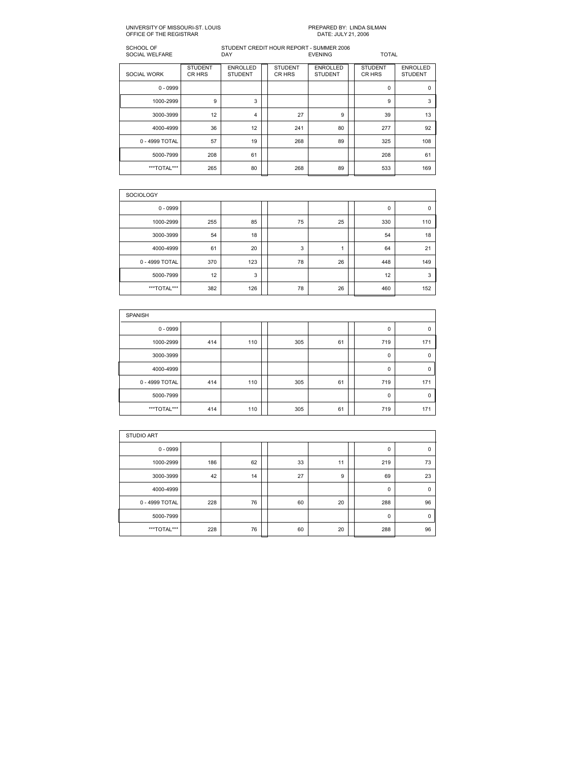| SCHOOL OF<br>SOCIAL WELFARE |                          | STUDENT CREDIT HOUR REPORT - SUMMER 2006<br><b>DAY</b><br><b>EVENING</b> |  |                          |                                   |  | <b>TOTAL</b>             |                                   |  |
|-----------------------------|--------------------------|--------------------------------------------------------------------------|--|--------------------------|-----------------------------------|--|--------------------------|-----------------------------------|--|
| <b>SOCIAL WORK</b>          | <b>STUDENT</b><br>CR HRS | <b>ENROLLED</b><br><b>STUDENT</b>                                        |  | <b>STUDENT</b><br>CR HRS | <b>ENROLLED</b><br><b>STUDENT</b> |  | <b>STUDENT</b><br>CR HRS | <b>ENROLLED</b><br><b>STUDENT</b> |  |
| $0 - 0999$                  |                          |                                                                          |  |                          |                                   |  | $\Omega$                 | 0                                 |  |
| 1000-2999                   | 9                        | 3                                                                        |  |                          |                                   |  | 9                        | 3                                 |  |
| 3000-3999                   | 12                       | $\overline{\mathbf{4}}$                                                  |  | 27                       | 9                                 |  | 39                       | 13                                |  |
| 4000-4999                   | 36                       | 12                                                                       |  | 241                      | 80                                |  | 277                      | 92                                |  |
| 0 - 4999 TOTAL              | 57                       | 19                                                                       |  | 268                      | 89                                |  | 325                      | 108                               |  |
| 5000-7999                   | 208                      | 61                                                                       |  |                          |                                   |  | 208                      | 61                                |  |
| ***TOTAL***                 | 265                      | 80                                                                       |  | 268                      | 89                                |  | 533                      | 169                               |  |

| <b>SOCIOLOGY</b> |     |     |  |    |    |  |     |             |  |  |  |  |
|------------------|-----|-----|--|----|----|--|-----|-------------|--|--|--|--|
| $0 - 0999$       |     |     |  |    |    |  | 0   | $\mathbf 0$ |  |  |  |  |
| 1000-2999        | 255 | 85  |  | 75 | 25 |  | 330 | 110         |  |  |  |  |
| 3000-3999        | 54  | 18  |  |    |    |  | 54  | 18          |  |  |  |  |
| 4000-4999        | 61  | 20  |  | 3  | и  |  | 64  | 21          |  |  |  |  |
| 0 - 4999 TOTAL   | 370 | 123 |  | 78 | 26 |  | 448 | 149         |  |  |  |  |
| 5000-7999        | 12  | 3   |  |    |    |  | 12  | 3           |  |  |  |  |
| ***TOTAL***      | 382 | 126 |  | 78 | 26 |  | 460 | 152         |  |  |  |  |

| <b>SPANISH</b> |     |     |  |     |    |  |             |              |  |  |  |  |
|----------------|-----|-----|--|-----|----|--|-------------|--------------|--|--|--|--|
| $0 - 0999$     |     |     |  |     |    |  | 0           | 0            |  |  |  |  |
| 1000-2999      | 414 | 110 |  | 305 | 61 |  | 719         | 171          |  |  |  |  |
| 3000-3999      |     |     |  |     |    |  | $\mathbf 0$ | $\mathbf{0}$ |  |  |  |  |
| 4000-4999      |     |     |  |     |    |  | 0           | $\mathbf{0}$ |  |  |  |  |
| 0 - 4999 TOTAL | 414 | 110 |  | 305 | 61 |  | 719         | 171          |  |  |  |  |
| 5000-7999      |     |     |  |     |    |  | $\Omega$    | $\mathbf{0}$ |  |  |  |  |
| ***TOTAL***    | 414 | 110 |  | 305 | 61 |  | 719         | 171          |  |  |  |  |

| <b>STUDIO ART</b> |     |    |  |    |    |  |             |             |  |  |  |  |
|-------------------|-----|----|--|----|----|--|-------------|-------------|--|--|--|--|
| $0 - 0999$        |     |    |  |    |    |  | 0           | 0           |  |  |  |  |
| 1000-2999         | 186 | 62 |  | 33 | 11 |  | 219         | 73          |  |  |  |  |
| 3000-3999         | 42  | 14 |  | 27 | 9  |  | 69          | 23          |  |  |  |  |
| 4000-4999         |     |    |  |    |    |  | $\mathbf 0$ | $\mathbf 0$ |  |  |  |  |
| 0 - 4999 TOTAL    | 228 | 76 |  | 60 | 20 |  | 288         | 96          |  |  |  |  |
| 5000-7999         |     |    |  |    |    |  | $\mathbf 0$ | $\Omega$    |  |  |  |  |
| ***TOTAL***       | 228 | 76 |  | 60 | 20 |  | 288         | 96          |  |  |  |  |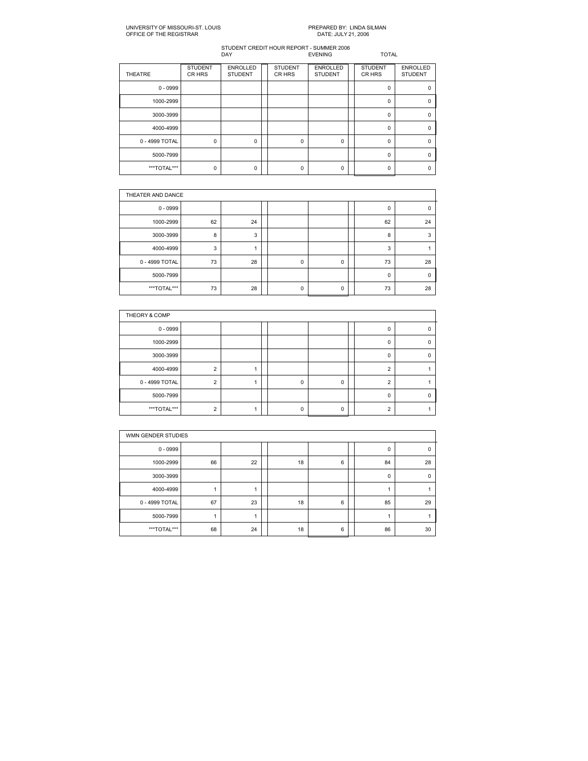| <b>THEATRE</b> | <b>STUDENT</b><br>CR HRS | <b>ENROLLED</b><br><b>STUDENT</b> | <b>STUDENT</b><br>CR HRS | <b>ENROLLED</b><br><b>STUDENT</b> | <b>STUDENT</b><br>CR HRS | <b>ENROLLED</b><br><b>STUDENT</b> |
|----------------|--------------------------|-----------------------------------|--------------------------|-----------------------------------|--------------------------|-----------------------------------|
| $0 - 0999$     |                          |                                   |                          |                                   | $\Omega$                 |                                   |
| 1000-2999      |                          |                                   |                          |                                   | 0                        |                                   |
| 3000-3999      |                          |                                   |                          |                                   | $\Omega$                 |                                   |
| 4000-4999      |                          |                                   |                          |                                   | $\Omega$                 | $\Omega$                          |
| 0 - 4999 TOTAL | 0                        | 0                                 | 0                        | 0                                 | $\Omega$                 | n                                 |
| 5000-7999      |                          |                                   |                          |                                   | $\Omega$                 | O                                 |
| ***TOTAL***    | 0                        | 0                                 | O                        | $\Omega$                          | O                        |                                   |

|                | THEATER AND DANCE |    |  |   |   |  |          |          |  |  |  |  |
|----------------|-------------------|----|--|---|---|--|----------|----------|--|--|--|--|
| $0 - 0999$     |                   |    |  |   |   |  | 0        | $\Omega$ |  |  |  |  |
| 1000-2999      | 62                | 24 |  |   |   |  | 62       | 24       |  |  |  |  |
| 3000-3999      | 8                 | 3  |  |   |   |  | 8        | 3        |  |  |  |  |
| 4000-4999      | 3                 |    |  |   |   |  | 3        |          |  |  |  |  |
| 0 - 4999 TOTAL | 73                | 28 |  | 0 | 0 |  | 73       | 28       |  |  |  |  |
| 5000-7999      |                   |    |  |   |   |  | $\Omega$ | ſ        |  |  |  |  |
| ***TOTAL***    | 73                | 28 |  | 0 | 0 |  | 73       | 28       |  |  |  |  |

| THEORY & COMP  |                |  |  |   |          |  |          |  |  |  |  |  |
|----------------|----------------|--|--|---|----------|--|----------|--|--|--|--|--|
| $0 - 0999$     |                |  |  |   |          |  |          |  |  |  |  |  |
| 1000-2999      |                |  |  |   |          |  | n        |  |  |  |  |  |
| 3000-3999      |                |  |  |   |          |  | $\Omega$ |  |  |  |  |  |
| 4000-4999      | $\overline{2}$ |  |  |   |          |  | $\Omega$ |  |  |  |  |  |
| 0 - 4999 TOTAL | $\overline{2}$ |  |  | 0 | 0        |  | $\sim$   |  |  |  |  |  |
| 5000-7999      |                |  |  |   |          |  | $\Omega$ |  |  |  |  |  |
| ***TOTAL***    | ◠              |  |  | U | $\Omega$ |  | c        |  |  |  |  |  |

|                | WMN GENDER STUDIES |    |  |    |   |  |    |          |  |  |  |  |
|----------------|--------------------|----|--|----|---|--|----|----------|--|--|--|--|
| $0 - 0999$     |                    |    |  |    |   |  | 0  | 0        |  |  |  |  |
| 1000-2999      | 66                 | 22 |  | 18 | 6 |  | 84 | 28       |  |  |  |  |
| 3000-3999      |                    |    |  |    |   |  | 0  | $\Omega$ |  |  |  |  |
| 4000-4999      |                    |    |  |    |   |  |    |          |  |  |  |  |
| 0 - 4999 TOTAL | 67                 | 23 |  | 18 | 6 |  | 85 | 29       |  |  |  |  |
| 5000-7999      |                    |    |  |    |   |  |    |          |  |  |  |  |
| ***TOTAL***    | 68                 | 24 |  | 18 | 6 |  | 86 | 30       |  |  |  |  |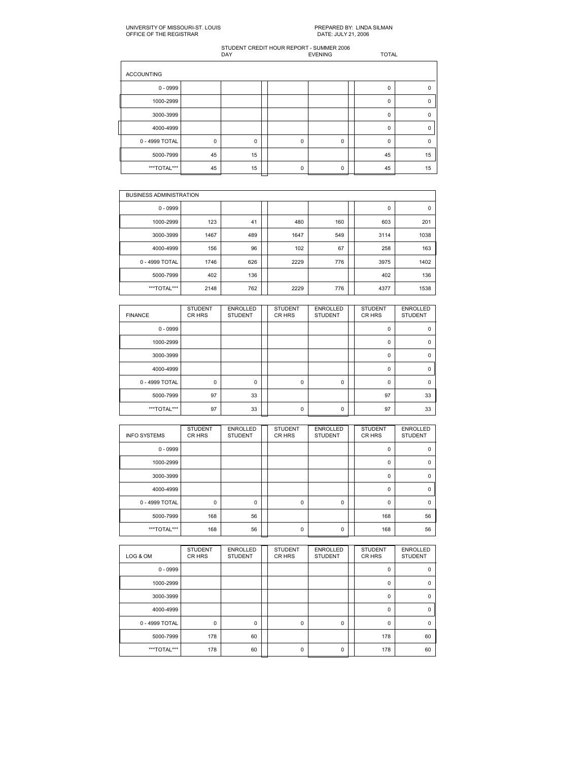### UNIVERSITY OF MISSOURI-ST. LOUIS PARED BY: LINDA SILMAN OFFICE OF THE REGISTRARED BY: LINDA SILMAN OFFICE OF THE REGISTRAR

| <b>ACCOUNTING</b> |    |             |             |           |          |             |
|-------------------|----|-------------|-------------|-----------|----------|-------------|
| $0 - 0999$        |    |             |             |           | $\Omega$ | $\Omega$    |
| 1000-2999         |    |             |             |           | 0        | C           |
| 3000-3999         |    |             |             |           | 0        | $\mathbf 0$ |
| 4000-4999         |    |             |             |           | $\Omega$ | $\Omega$    |
| 0 - 4999 TOTAL    | 0  | $\mathbf 0$ | $\mathbf 0$ | $\pmb{0}$ | 0        | $\mathbf 0$ |
| 5000-7999         | 45 | 15          |             |           | 45       | 15          |
| ***TOTAL***       | 45 | 15          | $\Omega$    | 0         | 45       | 15          |

|                | <b>BUSINESS ADMINISTRATION</b> |     |  |      |     |  |      |      |  |  |  |  |
|----------------|--------------------------------|-----|--|------|-----|--|------|------|--|--|--|--|
| $0 - 0999$     |                                |     |  |      |     |  | 0    | 0    |  |  |  |  |
| 1000-2999      | 123                            | 41  |  | 480  | 160 |  | 603  | 201  |  |  |  |  |
| 3000-3999      | 1467                           | 489 |  | 1647 | 549 |  | 3114 | 1038 |  |  |  |  |
| 4000-4999      | 156                            | 96  |  | 102  | 67  |  | 258  | 163  |  |  |  |  |
| 0 - 4999 TOTAL | 1746                           | 626 |  | 2229 | 776 |  | 3975 | 1402 |  |  |  |  |
| 5000-7999      | 402                            | 136 |  |      |     |  | 402  | 136  |  |  |  |  |
| ***TOTAL***    | 2148                           | 762 |  | 2229 | 776 |  | 4377 | 1538 |  |  |  |  |

| <b>FINANCE</b> | <b>STUDENT</b><br>CR HRS | <b>ENROLLED</b><br><b>STUDENT</b> | <b>STUDENT</b><br>CR HRS | <b>ENROLLED</b><br><b>STUDENT</b> | <b>STUDENT</b><br>CR HRS | <b>ENROLLED</b><br><b>STUDENT</b> |
|----------------|--------------------------|-----------------------------------|--------------------------|-----------------------------------|--------------------------|-----------------------------------|
| $0 - 0999$     |                          |                                   |                          |                                   | 0                        | $\mathbf 0$                       |
| 1000-2999      |                          |                                   |                          |                                   | $\Omega$                 | $\Omega$                          |
| 3000-3999      |                          |                                   |                          |                                   | 0                        | $\mathbf 0$                       |
| 4000-4999      |                          |                                   |                          |                                   | 0                        | $\Omega$                          |
| 0 - 4999 TOTAL | 0                        | $\Omega$                          | $\Omega$                 | 0                                 | $\Omega$                 | $\Omega$                          |
| 5000-7999      | 97                       | 33                                |                          |                                   | 97                       | 33                                |
| ***TOTAL***    | 97                       | 33                                | $\Omega$                 | $\Omega$                          | 97                       | 33                                |

| <b>INFO SYSTEMS</b> | <b>STUDENT</b><br>CR HRS | <b>ENROLLED</b><br><b>STUDENT</b> | <b>STUDENT</b><br>CR HRS | <b>ENROLLED</b><br><b>STUDENT</b> | <b>STUDENT</b><br>CR HRS | <b>ENROLLED</b><br><b>STUDENT</b> |
|---------------------|--------------------------|-----------------------------------|--------------------------|-----------------------------------|--------------------------|-----------------------------------|
| $0 - 0999$          |                          |                                   |                          |                                   | 0                        | 0                                 |
| 1000-2999           |                          |                                   |                          |                                   | 0                        | $\Omega$                          |
| 3000-3999           |                          |                                   |                          |                                   | $\Omega$                 | $\Omega$                          |
| 4000-4999           |                          |                                   |                          |                                   | 0                        | $\Omega$                          |
| 0 - 4999 TOTAL      | $\mathbf 0$              | $\Omega$                          | $\Omega$                 | 0                                 | $\Omega$                 | $\Omega$                          |
| 5000-7999           | 168                      | 56                                |                          |                                   | 168                      | 56                                |
| ***TOTAL***         | 168                      | 56                                | $\mathbf 0$              | 0                                 | 168                      | 56                                |

| LOG & OM       | <b>STUDENT</b><br>CR HRS | <b>ENROLLED</b><br><b>STUDENT</b> | <b>STUDENT</b><br>CR HRS | <b>ENROLLED</b><br><b>STUDENT</b> | <b>STUDENT</b><br>CR HRS | <b>ENROLLED</b><br><b>STUDENT</b> |
|----------------|--------------------------|-----------------------------------|--------------------------|-----------------------------------|--------------------------|-----------------------------------|
| $0 - 0999$     |                          |                                   |                          |                                   | 0                        | $\mathbf 0$                       |
| 1000-2999      |                          |                                   |                          |                                   | $\Omega$                 | $\Omega$                          |
| 3000-3999      |                          |                                   |                          |                                   | $\Omega$                 | $\Omega$                          |
| 4000-4999      |                          |                                   |                          |                                   | 0                        | $\mathbf 0$                       |
| 0 - 4999 TOTAL | 0                        | $\Omega$                          | $\mathbf 0$              | 0                                 | $\Omega$                 | $\Omega$                          |
| 5000-7999      | 178                      | 60                                |                          |                                   | 178                      | 60                                |
| ***TOTAL***    | 178                      | 60                                | $\mathbf 0$              | 0                                 | 178                      | 60                                |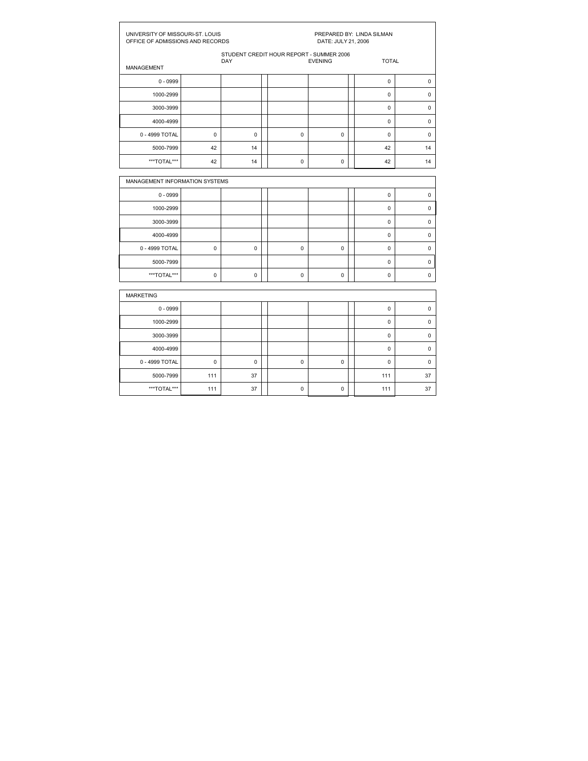| UNIVERSITY OF MISSOURI-ST. LOUIS<br>OFFICE OF ADMISSIONS AND RECORDS |             |             | PREPARED BY: LINDA SILMAN<br>DATE: JULY 21, 2006 |                                          |                |  |              |             |  |
|----------------------------------------------------------------------|-------------|-------------|--------------------------------------------------|------------------------------------------|----------------|--|--------------|-------------|--|
| <b>MANAGEMENT</b>                                                    |             | <b>DAY</b>  |                                                  | STUDENT CREDIT HOUR REPORT - SUMMER 2006 | <b>EVENING</b> |  | <b>TOTAL</b> |             |  |
| $0 - 0999$                                                           |             |             |                                                  |                                          |                |  | $\mathbf 0$  | $\mathbf 0$ |  |
| 1000-2999                                                            |             |             |                                                  |                                          |                |  | 0            | $\mathbf 0$ |  |
| 3000-3999                                                            |             |             |                                                  |                                          |                |  | $\Omega$     | $\mathbf 0$ |  |
| 4000-4999                                                            |             |             |                                                  |                                          |                |  | 0            | $\pmb{0}$   |  |
| 0 - 4999 TOTAL                                                       | $\mathbf 0$ | $\mathbf 0$ |                                                  | $\mathbf 0$                              | $\mathbf 0$    |  | $\mathbf 0$  | $\mathbf 0$ |  |
| 5000-7999                                                            | 42          | 14          |                                                  |                                          |                |  | 42           | 14          |  |
| ***TOTAL***                                                          | 42          | 14          |                                                  | $\mathbf 0$                              | $\mathbf 0$    |  | 42           | 14          |  |
| MANAGEMENT INFORMATION SYSTEMS                                       |             |             |                                                  |                                          |                |  |              |             |  |
| $0 - 0999$                                                           |             |             |                                                  |                                          |                |  | $\mathbf 0$  | $\pmb{0}$   |  |
| 1000-2999                                                            |             |             |                                                  |                                          |                |  | 0            | $\mathbf 0$ |  |
| 3000-3999                                                            |             |             |                                                  |                                          |                |  | 0            | $\mathbf 0$ |  |
| 4000-4999                                                            |             |             |                                                  |                                          |                |  | $\Omega$     | $\mathbf 0$ |  |
| 0 - 4999 TOTAL                                                       | 0           | $\mathbf 0$ |                                                  | $\Omega$                                 | 0              |  | 0            | $\mathbf 0$ |  |
| 5000-7999                                                            |             |             |                                                  |                                          |                |  | $\mathbf 0$  | $\pmb{0}$   |  |
| ***TOTAL***                                                          | 0           | $\mathbf 0$ |                                                  | 0                                        | $\mathbf 0$    |  | 0            | $\mathbf 0$ |  |
| <b>MARKETING</b>                                                     |             |             |                                                  |                                          |                |  |              |             |  |
| $0 - 0999$                                                           |             |             |                                                  |                                          |                |  | $\mathbf 0$  | $\mathbf 0$ |  |
| 1000-2999                                                            |             |             |                                                  |                                          |                |  | 0            | $\pmb{0}$   |  |
|                                                                      |             |             |                                                  |                                          |                |  |              |             |  |

3000-3999 | | | | | | | | 0 | 0 | 4000-4999 | | | | | | | | | | 0 | 0 | 0 4999 TOTAL 0 0 0 0 0 0 5000-7999 | 111 | 37 | | | | 111 | 37 | \*\*\*TOTAL\*\*\* 111 111 37 0 0 111 37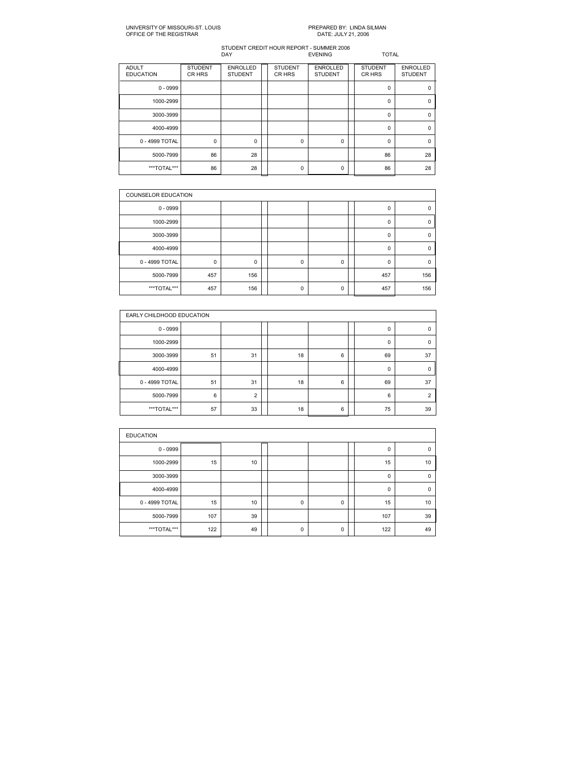| <b>ADULT</b><br><b>EDUCATION</b> | <b>STUDENT</b><br>CR HRS | <b>ENROLLED</b><br><b>STUDENT</b> | <b>STUDENT</b><br>CR HRS | <b>ENROLLED</b><br><b>STUDENT</b> | <b>STUDENT</b><br>CR HRS | <b>ENROLLED</b><br><b>STUDENT</b> |
|----------------------------------|--------------------------|-----------------------------------|--------------------------|-----------------------------------|--------------------------|-----------------------------------|
| $0 - 0999$                       |                          |                                   |                          |                                   | $\mathbf 0$              | $\Omega$                          |
| 1000-2999                        |                          |                                   |                          |                                   | $\mathbf 0$              | $\mathbf 0$                       |
| 3000-3999                        |                          |                                   |                          |                                   | $\mathbf 0$              | $\Omega$                          |
| 4000-4999                        |                          |                                   |                          |                                   | $\Omega$                 | $\Omega$                          |
| 0 - 4999 TOTAL                   | 0                        | 0                                 | $\mathbf 0$              | 0                                 | $\mathbf 0$              | $\Omega$                          |
| 5000-7999                        | 86                       | 28                                |                          |                                   | 86                       | 28                                |
| ***TOTAL***                      | 86                       | 28                                | $\Omega$                 | 0                                 | 86                       | 28                                |

|                | <b>COUNSELOR EDUCATION</b> |     |  |   |          |  |          |     |  |  |  |
|----------------|----------------------------|-----|--|---|----------|--|----------|-----|--|--|--|
| $0 - 0999$     |                            |     |  |   |          |  | 0        |     |  |  |  |
| 1000-2999      |                            |     |  |   |          |  | 0        | 0   |  |  |  |
| 3000-3999      |                            |     |  |   |          |  | 0        |     |  |  |  |
| 4000-4999      |                            |     |  |   |          |  | $\Omega$ | 0   |  |  |  |
| 0 - 4999 TOTAL | $\mathbf 0$                | 0   |  | 0 | 0        |  | $\Omega$ | 0   |  |  |  |
| 5000-7999      | 457                        | 156 |  |   |          |  | 457      | 156 |  |  |  |
| ***TOTAL***    | 457                        | 156 |  | 0 | $\Omega$ |  | 457      | 156 |  |  |  |

|                | EARLY CHILDHOOD EDUCATION |                |  |    |   |  |          |          |  |  |  |
|----------------|---------------------------|----------------|--|----|---|--|----------|----------|--|--|--|
| $0 - 0999$     |                           |                |  |    |   |  | 0        | 0        |  |  |  |
| 1000-2999      |                           |                |  |    |   |  | $\Omega$ | $\Omega$ |  |  |  |
| 3000-3999      | 51                        | 31             |  | 18 | 6 |  | 69       | 37       |  |  |  |
| 4000-4999      |                           |                |  |    |   |  | $\Omega$ | $\Omega$ |  |  |  |
| 0 - 4999 TOTAL | 51                        | 31             |  | 18 | 6 |  | 69       | 37       |  |  |  |
| 5000-7999      | 6                         | $\overline{2}$ |  |    |   |  | 6        | $\Omega$ |  |  |  |
| ***TOTAL***    | 57                        | 33             |  | 18 | 6 |  | 75       | 39       |  |  |  |

| <b>EDUCATION</b> |     |    |  |             |   |  |             |          |  |  |  |
|------------------|-----|----|--|-------------|---|--|-------------|----------|--|--|--|
| $0 - 0999$       |     |    |  |             |   |  | 0           | 0        |  |  |  |
| 1000-2999        | 15  | 10 |  |             |   |  | 15          | 10       |  |  |  |
| 3000-3999        |     |    |  |             |   |  | $\mathbf 0$ | $\Omega$ |  |  |  |
| 4000-4999        |     |    |  |             |   |  | $\mathbf 0$ | $\Omega$ |  |  |  |
| 0 - 4999 TOTAL   | 15  | 10 |  | $\mathbf 0$ | 0 |  | 15          | 10       |  |  |  |
| 5000-7999        | 107 | 39 |  |             |   |  | 107         | 39       |  |  |  |
| ***TOTAL***      | 122 | 49 |  | $\mathbf 0$ | 0 |  | 122         | 49       |  |  |  |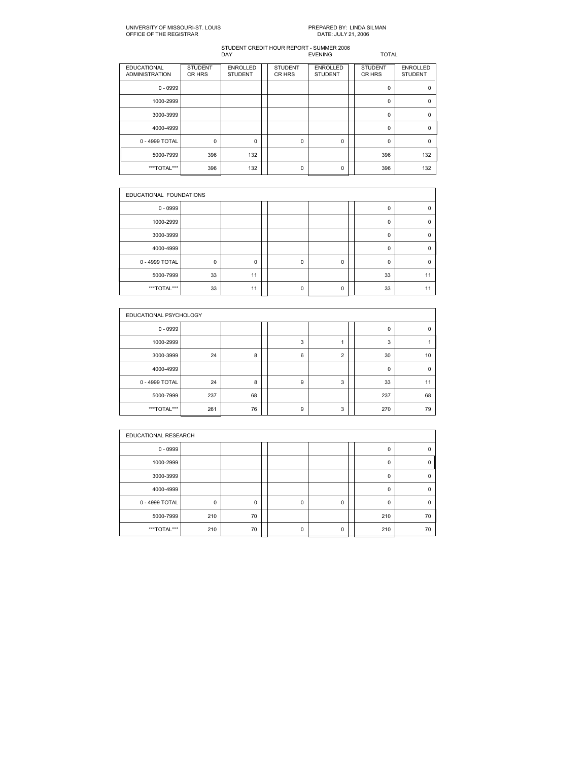| <b>EDUCATIONAL</b><br><b>ADMINISTRATION</b> | <b>STUDENT</b><br>CR HRS | <b>ENROLLED</b><br><b>STUDENT</b> | <b>STUDENT</b><br>CR HRS | <b>ENROLLED</b><br><b>STUDENT</b> | <b>STUDENT</b><br>CR HRS | <b>ENROLLED</b><br><b>STUDENT</b> |
|---------------------------------------------|--------------------------|-----------------------------------|--------------------------|-----------------------------------|--------------------------|-----------------------------------|
| $0 - 0999$                                  |                          |                                   |                          |                                   | $\Omega$                 | n                                 |
| 1000-2999                                   |                          |                                   |                          |                                   | $\Omega$                 | $\Omega$                          |
| 3000-3999                                   |                          |                                   |                          |                                   | $\Omega$                 | $\Omega$                          |
| 4000-4999                                   |                          |                                   |                          |                                   | $\Omega$                 | $\Omega$                          |
| 0 - 4999 TOTAL                              | 0                        | 0                                 | 0                        | $\mathbf 0$                       | $\Omega$                 | $\Omega$                          |
| 5000-7999                                   | 396                      | 132                               |                          |                                   | 396                      | 132                               |
| ***TOTAL***                                 | 396                      | 132                               | $\Omega$                 | 0                                 | 396                      | 132                               |

|                | EDUCATIONAL FOUNDATIONS |    |  |             |   |  |          |          |  |  |  |
|----------------|-------------------------|----|--|-------------|---|--|----------|----------|--|--|--|
| $0 - 0999$     |                         |    |  |             |   |  | 0        | $\Omega$ |  |  |  |
| 1000-2999      |                         |    |  |             |   |  | 0        | n        |  |  |  |
| 3000-3999      |                         |    |  |             |   |  | 0        | $\Omega$ |  |  |  |
| 4000-4999      |                         |    |  |             |   |  | 0        |          |  |  |  |
| 0 - 4999 TOTAL | $\mathbf 0$             | 0  |  | $\mathbf 0$ | 0 |  | $\Omega$ | $\Omega$ |  |  |  |
| 5000-7999      | 33                      | 11 |  |             |   |  | 33       | 11       |  |  |  |
| ***TOTAL***    | 33                      | 11 |  | $\Omega$    | 0 |  | 33       | 11       |  |  |  |

|                | EDUCATIONAL PSYCHOLOGY |    |  |   |                |  |     |          |  |  |  |
|----------------|------------------------|----|--|---|----------------|--|-----|----------|--|--|--|
| $0 - 0999$     |                        |    |  |   |                |  | 0   | $\Omega$ |  |  |  |
| 1000-2999      |                        |    |  | 3 |                |  | 3   |          |  |  |  |
| 3000-3999      | 24                     | 8  |  | 6 | $\overline{2}$ |  | 30  | 10       |  |  |  |
| 4000-4999      |                        |    |  |   |                |  | 0   | $\Omega$ |  |  |  |
| 0 - 4999 TOTAL | 24                     | 8  |  | 9 | 3              |  | 33  | 11       |  |  |  |
| 5000-7999      | 237                    | 68 |  |   |                |  | 237 | 68       |  |  |  |
| ***TOTAL***    | 261                    | 76 |  | 9 | 3              |  | 270 | 79       |  |  |  |

|                | EDUCATIONAL RESEARCH |    |  |          |   |  |             |          |  |  |  |
|----------------|----------------------|----|--|----------|---|--|-------------|----------|--|--|--|
| $0 - 0999$     |                      |    |  |          |   |  | 0           | 0        |  |  |  |
| 1000-2999      |                      |    |  |          |   |  | $\Omega$    | $\Omega$ |  |  |  |
| 3000-3999      |                      |    |  |          |   |  | $\Omega$    | $\Omega$ |  |  |  |
| 4000-4999      |                      |    |  |          |   |  | $\mathbf 0$ | $\Omega$ |  |  |  |
| 0 - 4999 TOTAL | 0                    | 0  |  | $\Omega$ | 0 |  | $\Omega$    | $\Omega$ |  |  |  |
| 5000-7999      | 210                  | 70 |  |          |   |  | 210         | 70       |  |  |  |
| ***TOTAL***    | 210                  | 70 |  | $\Omega$ | 0 |  | 210         | 70       |  |  |  |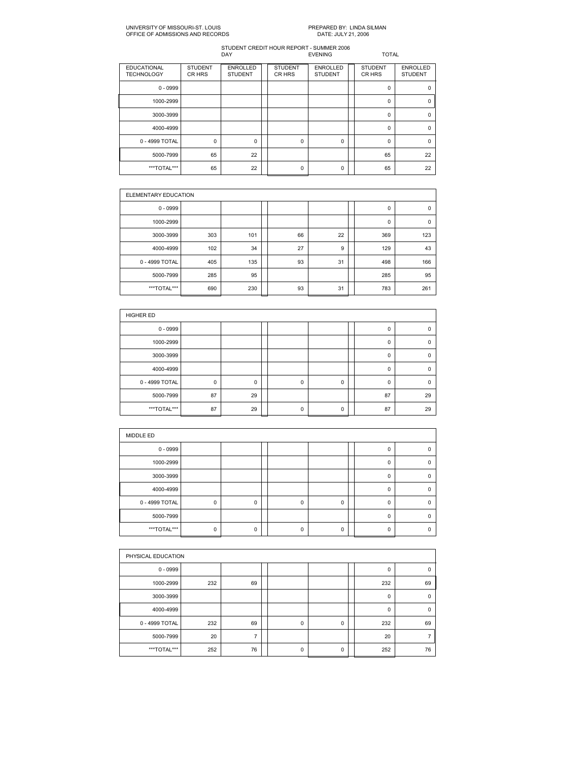### UNIVERSITY OF MISSOURIST. LOUIS PREPARED BY: LINDA SILMAN OFFICE OF ADMISSIONS AND RECORDS

| <b>EDUCATIONAL</b><br><b>TECHNOLOGY</b> | <b>STUDENT</b><br>CR HRS | <b>ENROLLED</b><br><b>STUDENT</b> | <b>STUDENT</b><br>CR HRS | <b>ENROLLED</b><br><b>STUDENT</b> | <b>STUDENT</b><br>CR HRS | <b>ENROLLED</b><br><b>STUDENT</b> |
|-----------------------------------------|--------------------------|-----------------------------------|--------------------------|-----------------------------------|--------------------------|-----------------------------------|
| $0 - 0999$                              |                          |                                   |                          |                                   | $\Omega$                 | $\Omega$                          |
| 1000-2999                               |                          |                                   |                          |                                   | 0                        | 0                                 |
| 3000-3999                               |                          |                                   |                          |                                   | $\Omega$                 | $\Omega$                          |
| 4000-4999                               |                          |                                   |                          |                                   | $\Omega$                 | $\Omega$                          |
| 0 - 4999 TOTAL                          | 0                        | 0                                 | 0                        | 0                                 | 0                        | $\Omega$                          |
| 5000-7999                               | 65                       | 22                                |                          |                                   | 65                       | 22                                |
| ***TOTAL***                             | 65                       | 22                                | 0                        | 0                                 | 65                       | 22                                |

|                | ELEMENTARY EDUCATION |     |  |    |    |  |     |             |  |  |  |
|----------------|----------------------|-----|--|----|----|--|-----|-------------|--|--|--|
| $0 - 0999$     |                      |     |  |    |    |  | 0   | $\mathbf 0$ |  |  |  |
| 1000-2999      |                      |     |  |    |    |  | 0   | $\mathbf 0$ |  |  |  |
| 3000-3999      | 303                  | 101 |  | 66 | 22 |  | 369 | 123         |  |  |  |
| 4000-4999      | 102                  | 34  |  | 27 | 9  |  | 129 | 43          |  |  |  |
| 0 - 4999 TOTAL | 405                  | 135 |  | 93 | 31 |  | 498 | 166         |  |  |  |
| 5000-7999      | 285                  | 95  |  |    |    |  | 285 | 95          |  |  |  |
| ***TOTAL***    | 690                  | 230 |  | 93 | 31 |  | 783 | 261         |  |  |  |

| <b>HIGHER ED</b> |    |    |  |             |             |  |          |             |  |  |
|------------------|----|----|--|-------------|-------------|--|----------|-------------|--|--|
| $0 - 0999$       |    |    |  |             |             |  | $\Omega$ | $\mathbf 0$ |  |  |
| 1000-2999        |    |    |  |             |             |  | 0        | 0           |  |  |
| 3000-3999        |    |    |  |             |             |  | $\Omega$ | $\Omega$    |  |  |
| 4000-4999        |    |    |  |             |             |  | 0        | $\mathbf 0$ |  |  |
| 0 - 4999 TOTAL   | 0  | 0  |  | $\mathbf 0$ | 0           |  | 0        | $\mathbf 0$ |  |  |
| 5000-7999        | 87 | 29 |  |             |             |  | 87       | 29          |  |  |
| ***TOTAL***      | 87 | 29 |  | $\mathbf 0$ | $\mathbf 0$ |  | 87       | 29          |  |  |

| MIDDLE ED      |             |   |          |   |          |          |
|----------------|-------------|---|----------|---|----------|----------|
| $0 - 0999$     |             |   |          |   | 0        | $\Omega$ |
| 1000-2999      |             |   |          |   | $\Omega$ | 0        |
| 3000-3999      |             |   |          |   | $\Omega$ | $\Omega$ |
| 4000-4999      |             |   |          |   | $\Omega$ | $\Omega$ |
| 0 - 4999 TOTAL | $\mathbf 0$ | 0 | $\Omega$ | 0 | $\Omega$ | $\Omega$ |
| 5000-7999      |             |   |          |   | $\Omega$ | $\Omega$ |
| ***TOTAL***    | $\mathbf 0$ | 0 | $\Omega$ | 0 | U        | $\Omega$ |

| PHYSICAL EDUCATION |     |    |  |             |   |  |              |          |  |  |
|--------------------|-----|----|--|-------------|---|--|--------------|----------|--|--|
| $0 - 0999$         |     |    |  |             |   |  | 0            | $\Omega$ |  |  |
| 1000-2999          | 232 | 69 |  |             |   |  | 232          | 69       |  |  |
| 3000-3999          |     |    |  |             |   |  | $\mathbf{0}$ | $\Omega$ |  |  |
| 4000-4999          |     |    |  |             |   |  | $\mathbf{0}$ | $\Omega$ |  |  |
| 0 - 4999 TOTAL     | 232 | 69 |  | $\mathbf 0$ | 0 |  | 232          | 69       |  |  |
| 5000-7999          | 20  | 7  |  |             |   |  | 20           | -        |  |  |
| ***TOTAL***        | 252 | 76 |  | $\mathbf 0$ | 0 |  | 252          | 76       |  |  |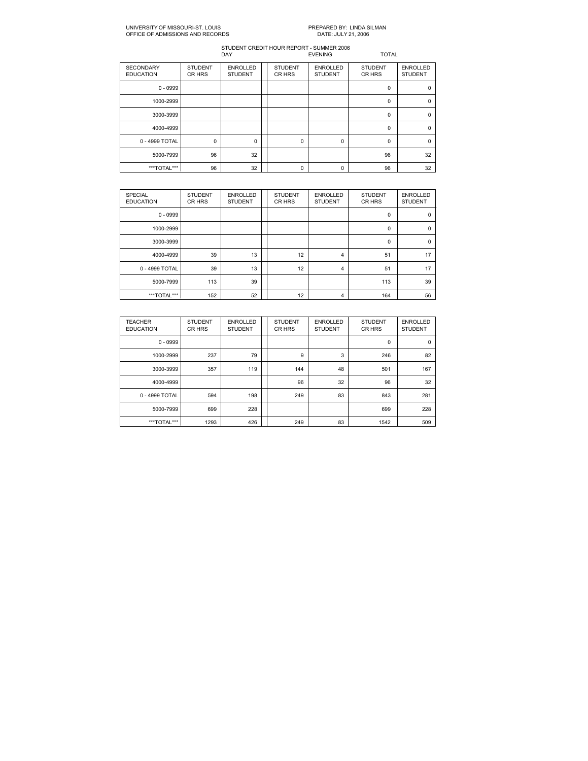### UNIVERSITY OF MISSOURIST. LOUIS PREPARED BY: LINDA SILMAN OFFICE OF ADMISSIONS AND RECORDS

| <b>SECONDARY</b><br><b>EDUCATION</b> | <b>STUDENT</b><br>CR HRS | <b>ENROLLED</b><br><b>STUDENT</b> | <b>STUDENT</b><br>CR HRS | <b>ENROLLED</b><br><b>STUDENT</b> | <b>STUDENT</b><br>CR HRS | <b>ENROLLED</b><br><b>STUDENT</b> |
|--------------------------------------|--------------------------|-----------------------------------|--------------------------|-----------------------------------|--------------------------|-----------------------------------|
| $0 - 0999$                           |                          |                                   |                          |                                   | 0                        | $\mathbf 0$                       |
| 1000-2999                            |                          |                                   |                          |                                   | $\Omega$                 | $\Omega$                          |
| 3000-3999                            |                          |                                   |                          |                                   | $\Omega$                 | $\Omega$                          |
| 4000-4999                            |                          |                                   |                          |                                   | $\Omega$                 | $\Omega$                          |
| 0 - 4999 TOTAL                       | $\mathbf 0$              | $\Omega$                          | $\Omega$                 | 0                                 | $\Omega$                 | $\Omega$                          |
| 5000-7999                            | 96                       | 32                                |                          |                                   | 96                       | 32                                |
| ***TOTAL***                          | 96                       | 32                                | $\Omega$                 | 0                                 | 96                       | 32                                |

| <b>SPECIAL</b><br><b>EDUCATION</b> | <b>STUDENT</b><br>CR HRS | <b>ENROLLED</b><br><b>STUDENT</b> | <b>STUDENT</b><br>CR HRS | <b>ENROLLED</b><br><b>STUDENT</b> | <b>STUDENT</b><br>CR HRS | <b>ENROLLED</b><br><b>STUDENT</b> |
|------------------------------------|--------------------------|-----------------------------------|--------------------------|-----------------------------------|--------------------------|-----------------------------------|
| $0 - 0999$                         |                          |                                   |                          |                                   | 0                        | 0                                 |
| 1000-2999                          |                          |                                   |                          |                                   | $\mathbf 0$              | $\mathbf 0$                       |
| 3000-3999                          |                          |                                   |                          |                                   | $\mathbf 0$              | $\Omega$                          |
| 4000-4999                          | 39                       | 13                                | 12                       | 4                                 | 51                       | 17                                |
| 0 - 4999 TOTAL                     | 39                       | 13                                | 12                       | 4                                 | 51                       | 17                                |
| 5000-7999                          | 113                      | 39                                |                          |                                   | 113                      | 39                                |
| ***TOTAL***                        | 152                      | 52                                | 12                       | 4                                 | 164                      | 56                                |

| <b>TEACHER</b><br><b>EDUCATION</b> | <b>STUDENT</b><br>CR HRS | <b>ENROLLED</b><br><b>STUDENT</b> | <b>STUDENT</b><br>CR HRS | <b>ENROLLED</b><br><b>STUDENT</b> | <b>STUDENT</b><br>CR HRS | <b>ENROLLED</b><br><b>STUDENT</b> |
|------------------------------------|--------------------------|-----------------------------------|--------------------------|-----------------------------------|--------------------------|-----------------------------------|
| $0 - 0999$                         |                          |                                   |                          |                                   | $\mathbf 0$              | 0                                 |
| 1000-2999                          | 237                      | 79                                | 9                        | 3                                 | 246                      | 82                                |
| 3000-3999                          | 357                      | 119                               | 144                      | 48                                | 501                      | 167                               |
| 4000-4999                          |                          |                                   | 96                       | 32                                | 96                       | 32                                |
| 0 - 4999 TOTAL                     | 594                      | 198                               | 249                      | 83                                | 843                      | 281                               |
| 5000-7999                          | 699                      | 228                               |                          |                                   | 699                      | 228                               |
| ***TOTAL***                        | 1293                     | 426                               | 249                      | 83                                | 1542                     | 509                               |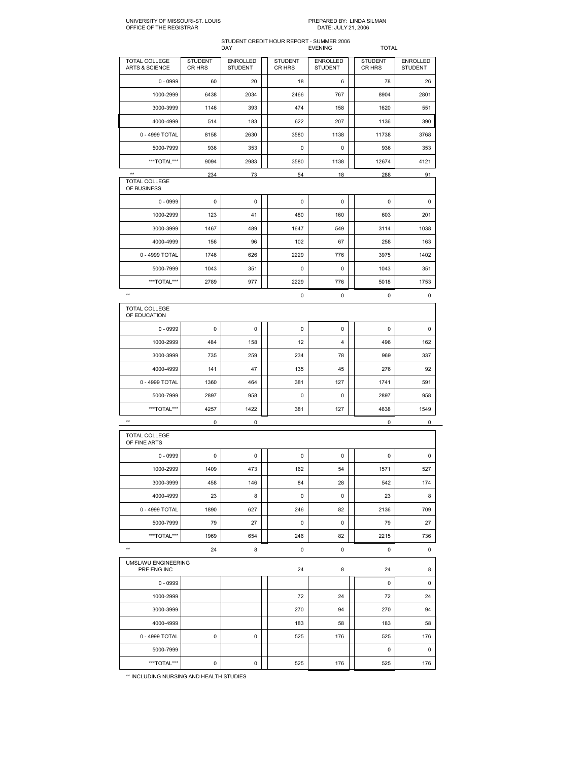## STUDENT CREDIT HOUR REPORT SUMMER 2006 DAY EVENING TOTAL

| $0 - 0999$<br>20<br>6<br>60<br>18                                     | <b>STUDENT</b><br><b>ENROLLED</b><br>CR HRS<br><b>STUDENT</b> |
|-----------------------------------------------------------------------|---------------------------------------------------------------|
|                                                                       | 78<br>26                                                      |
| 1000-2999<br>6438<br>2034<br>2466<br>767                              | 8904<br>2801                                                  |
| 3000-3999<br>1146<br>393<br>474<br>158                                | 1620<br>551                                                   |
| 4000-4999<br>183<br>622<br>207<br>514                                 | 390<br>1136                                                   |
| 0 - 4999 TOTAL<br>8158<br>2630<br>3580<br>1138                        | 11738<br>3768                                                 |
| 5000-7999<br>936<br>353<br>0<br>0                                     | 936<br>353                                                    |
| ***TOTAL***<br>9094<br>2983<br>3580<br>1138                           | 12674<br>4121                                                 |
| $\star\star$<br>234<br>73<br>54<br>18<br>TOTAL COLLEGE<br>OF BUSINESS | 288<br>91                                                     |
| $\mathsf 0$<br>$0 - 0999$<br>0<br>0<br>0                              | 0<br>0                                                        |
| 1000-2999<br>123<br>480<br>160<br>41                                  | 201<br>603                                                    |
| 3000-3999<br>1467<br>489<br>1647<br>549                               | 3114<br>1038                                                  |
| 4000-4999<br>156<br>96<br>102<br>67                                   | 258<br>163                                                    |
| 0 - 4999 TOTAL<br>1746<br>626<br>2229<br>776                          | 3975<br>1402                                                  |
| 5000-7999<br>351<br>0<br>1043<br>0                                    | 1043<br>351                                                   |
| ***TOTAL***<br>2789<br>977<br>2229<br>776                             | 5018<br>1753                                                  |
| $\star\star$<br>0<br>0                                                | 0<br>0                                                        |
| TOTAL COLLEGE<br>OF EDUCATION                                         |                                                               |
| $0 - 0999$<br>0<br>0<br>0<br>0                                        | 0<br>0                                                        |
| 1000-2999<br>484<br>158<br>12<br>4                                    | 496<br>162                                                    |
| 3000-3999<br>735<br>259<br>234<br>78                                  | 969<br>337                                                    |
| 4000-4999<br>141<br>47<br>135<br>45                                   | 276<br>92                                                     |
| 0 - 4999 TOTAL<br>1360<br>464<br>381<br>127                           | 1741<br>591                                                   |
| 5000-7999<br>2897<br>958<br>0<br>0                                    | 2897<br>958                                                   |
| ***TOTAL***<br>4257<br>1422<br>381<br>127                             | 4638<br>1549                                                  |
| $\star\star$<br>$\mathsf 0$<br>0                                      | 0<br>0                                                        |
| TOTAL COLLEGE<br>OF FINE ARTS                                         |                                                               |
| $0 - 0999$<br>0<br>0<br>0<br>0                                        | 0<br>0                                                        |
| 1000-2999<br>1409<br>473<br>162<br>54                                 | 1571<br>527                                                   |
| 84<br>458<br>146<br>28<br>3000-3999                                   | 542<br>174                                                    |
| 8<br>0<br>4000-4999<br>23<br>0                                        | 8<br>23                                                       |
| 0 - 4999 TOTAL<br>1890<br>627<br>246<br>82                            | 2136<br>709                                                   |
| 27<br>0<br>5000-7999<br>79<br>0                                       | 79<br>27                                                      |
| ***TOTAL***<br>1969<br>654<br>246<br>82                               | 2215<br>736                                                   |
| $\star\star$<br>$\pmb{0}$<br>24<br>8<br>0                             | 0<br>0                                                        |
| UMSL/WU ENGINEERING<br>8<br>PRE ENG INC<br>24                         | 24<br>8                                                       |
| $0 - 0999$                                                            | 0<br>0                                                        |
|                                                                       | 72<br>24                                                      |
| 1000-2999<br>24<br>72                                                 | 270<br>94                                                     |
| 3000-3999<br>270<br>94                                                |                                                               |
| 4000-4999<br>183<br>58                                                | 183<br>58                                                     |
| 0 - 4999 TOTAL<br>0<br>0<br>525<br>176                                | 525<br>176                                                    |
| 5000-7999                                                             | 0<br>0                                                        |

\*\* INCLUDING NURSING AND HEALTH STUDIES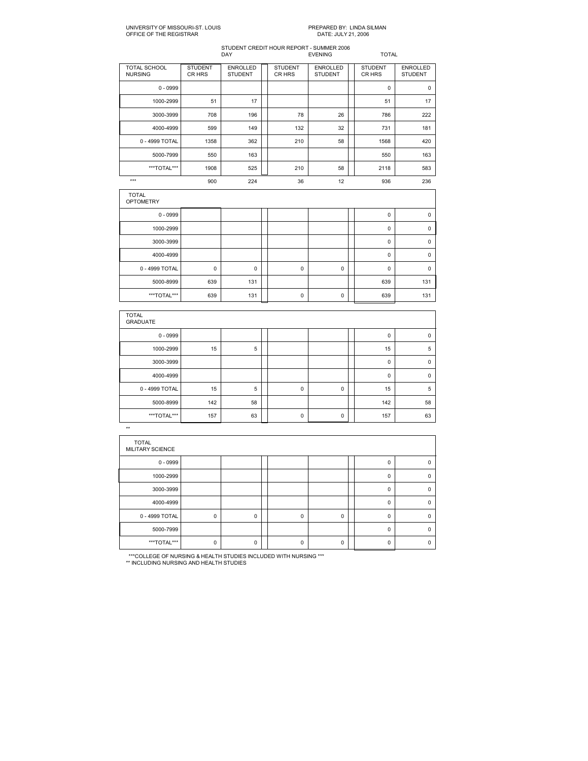# STUDENT CREDIT HOUR REPORT SUMMER 2006 DAY EVENING TOTAL

|                                  |                          | <b>UNI</b>                 |                          | ᄂ៴ᆫ៲៶៲៶៴                          | 1 V I AL                 |                                   |
|----------------------------------|--------------------------|----------------------------|--------------------------|-----------------------------------|--------------------------|-----------------------------------|
| TOTAL SCHOOL<br><b>NURSING</b>   | <b>STUDENT</b><br>CR HRS | ENROLLED<br><b>STUDENT</b> | <b>STUDENT</b><br>CR HRS | <b>ENROLLED</b><br><b>STUDENT</b> | <b>STUDENT</b><br>CR HRS | <b>ENROLLED</b><br><b>STUDENT</b> |
| $0 - 0999$                       |                          |                            |                          |                                   | $\mathbf 0$              | $\mathbf 0$                       |
| 1000-2999                        | 51                       | 17                         |                          |                                   | 51                       | 17                                |
| 3000-3999                        | 708                      | 196                        | 78                       | 26                                | 786                      | 222                               |
| 4000-4999                        | 599                      | 149                        | 132                      | 32                                | 731                      | 181                               |
| 0 - 4999 TOTAL                   | 1358                     | 362                        | 210                      | 58                                | 1568                     | 420                               |
| 5000-7999                        | 550                      | 163                        |                          |                                   | 550                      | 163                               |
| ***TOTAL***                      | 1908                     | 525                        | 210                      | 58                                | 2118                     | 583                               |
| $***$                            | 900                      | 224                        | 36                       | 12                                | 936                      | 236                               |
| <b>TOTAL</b><br><b>OPTOMETRY</b> |                          |                            |                          |                                   |                          |                                   |
| $0 - 0999$                       |                          |                            |                          |                                   | $\mathbf 0$              | $\pmb{0}$                         |
| 1000-2999                        |                          |                            |                          |                                   | $\mathbf 0$              | $\pmb{0}$                         |
| 3000-3999                        |                          |                            |                          |                                   | $\mathbf 0$              | $\mathbf 0$                       |
| 4000-4999                        |                          |                            |                          |                                   | $\mathbf 0$              | $\mathbf 0$                       |
| 0 - 4999 TOTAL                   | $\mathbf 0$              | $\mathbf 0$                | 0                        | $\mathbf 0$                       | $\mathbf 0$              | $\mathbf 0$                       |
|                                  | 639                      | 131                        |                          |                                   | 639                      | 131                               |
| 5000-8999                        |                          |                            |                          |                                   |                          |                                   |

| <b>GRADUATE</b> |     |    |             |             |          |             |
|-----------------|-----|----|-------------|-------------|----------|-------------|
| $0 - 0999$      |     |    |             |             | $\Omega$ | $\mathbf 0$ |
| 1000-2999       | 15  | 5  |             |             | 15       | 5           |
| 3000-3999       |     |    |             |             | 0        | 0           |
| 4000-4999       |     |    |             |             | 0        | $\Omega$    |
| 0 - 4999 TOTAL  | 15  | 5  | $\mathbf 0$ | $\mathbf 0$ | 15       | 5           |
| 5000-8999       | 142 | 58 |             |             | 142      | 58          |
| ***TOTAL***     | 157 | 63 | $\mathbf 0$ | $\mathbf 0$ | 157      | 63          |

| <b>TOTAL</b><br>MILITARY SCIENCE |          |          |          |          |             |          |
|----------------------------------|----------|----------|----------|----------|-------------|----------|
| $0 - 0999$                       |          |          |          |          | $\Omega$    | $\Omega$ |
| 1000-2999                        |          |          |          |          | $\mathbf 0$ | 0        |
| 3000-3999                        |          |          |          |          | $\Omega$    | $\Omega$ |
| 4000-4999                        |          |          |          |          | $\Omega$    | $\Omega$ |
| 0 - 4999 TOTAL                   | $\Omega$ | $\Omega$ | $\Omega$ | $\Omega$ | $\Omega$    | $\Omega$ |
| 5000-7999                        |          |          |          |          | $\Omega$    | $\Omega$ |
| ***TOTAL***                      | $\Omega$ | $\Omega$ | $\Omega$ | $\Omega$ | $\Omega$    | $\Omega$ |

\*\*\*COLLEGE OF NURSING & HEALTH STUDIES INCLUDED WITH NURSING \*\*\* \*\* INCLUDING NURSING AND HEALTH STUDIES